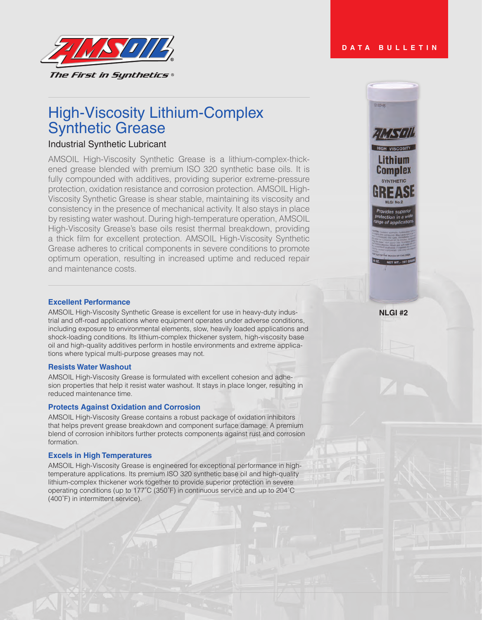# **DATA BULLETIN**

 $12 - 10 = -00$ 

 $\frac{1}{2}$   $\sqrt{1}$ 

**Complex** 

e of applic



# High-Viscosity Lithium-Complex Synthetic Grease

# Industrial Synthetic Lubricant

AMSOIL High-Viscosity Synthetic Grease is a lithium-complex-thickened grease blended with premium ISO 320 synthetic base oils. It is fully compounded with additives, providing superior extreme-pressure protection, oxidation resistance and corrosion protection. AMSOIL High-Viscosity Synthetic Grease is shear stable, maintaining its viscosity and consistency in the presence of mechanical activity. It also stays in place by resisting water washout. During high-temperature operation, AMSOIL High-Viscosity Grease's base oils resist thermal breakdown, providing a thick film for excellent protection. AMSOIL High-Viscosity Synthetic Grease adheres to critical components in severe conditions to promote optimum operation, resulting in increased uptime and reduced repair and maintenance costs.

### **Excellent Performance**

AMSOIL High-Viscosity Synthetic Grease is excellent for use in heavy-duty industrial and off-road applications where equipment operates under adverse conditions, including exposure to environmental elements, slow, heavily loaded applications and shock-loading conditions. Its lithium-complex thickener system, high-viscosity base oil and high-quality additives perform in hostile environments and extreme applications where typical multi-purpose greases may not.

#### **Resists Water Washout**

AMSOIL High-Viscosity Grease is formulated with excellent cohesion and adhesion properties that help it resist water washout. It stays in place longer, resulting in reduced maintenance time.

### **Protects Against Oxidation and Corrosion**

AMSOIL High-Viscosity Grease contains a robust package of oxidation inhibitors that helps prevent grease breakdown and component surface damage. A premium blend of corrosion inhibitors further protects components against rust and corrosion formation.

#### **Excels in High Temperatures**

AMSOIL High-Viscosity Grease is engineered for exceptional performance in hightemperature applications. Its premium ISO 320 synthetic base oil and high-quality lithium-complex thickener work together to provide superior protection in severe operating conditions (up to 177˚C (350˚F) in continuous service and up to 204˚C (400˚F) in intermittent service).

**NLGI #2**

NET WT. - 397 0